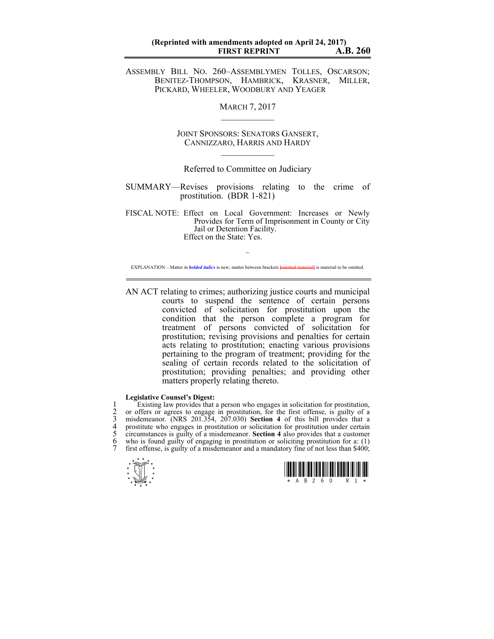ASSEMBLY BILL NO. 260–ASSEMBLYMEN TOLLES, OSCARSON; BENITEZ-THOMPSON, HAMBRICK, KRASNER, MILLER, PICKARD, WHEELER, WOODBURY AND YEAGER

**MARCH 7, 2017** 

JOINT SPONSORS: SENATORS GANSERT, CANNIZZARO, HARRIS AND HARDY  $\mathcal{L}_\text{max}$ 

## Referred to Committee on Judiciary

SUMMARY—Revises provisions relating to the crime of prostitution. (BDR 1-821)

FISCAL NOTE: Effect on Local Government: Increases or Newly Provides for Term of Imprisonment in County or City Jail or Detention Facility. Effect on the State: Yes.

 $\sim$ EXPLANATION – Matter in *bolded italics* is new; matter between brackets **[**omitted material**]** is material to be omitted.

AN ACT relating to crimes; authorizing justice courts and municipal courts to suspend the sentence of certain persons convicted of solicitation for prostitution upon the condition that the person complete a program for treatment of persons convicted of solicitation for prostitution; revising provisions and penalties for certain acts relating to prostitution; enacting various provisions pertaining to the program of treatment; providing for the sealing of certain records related to the solicitation of prostitution; providing penalties; and providing other matters properly relating thereto.

## **Legislative Counsel's Digest:**

1 Existing law provides that a person who engages in solicitation for prostitution,<br>2 or offers or agrees to engage in prostitution, for the first offense, is guilty of a<br>3 misdemeanor. (NRS 201.354, 207.030) **Section 4** o 2 or offers or agrees to engage in prostitution, for the first offense, is guilty of a 3 misdemeanor. (NRS 201.354, 207.030) **Section 4** of this bill provides that a prostitute who engages in prostitution or solicitation for prostitution under certain 5 circumstances is guilty of a misdemeanor. **Section 4** also provides that a customer who is found guilty of engaging in prostitution or soliciting prostitution for a:  $(1)$ first offense, is guilty of a misdemeanor and a mandatory fine of not less than \$400;



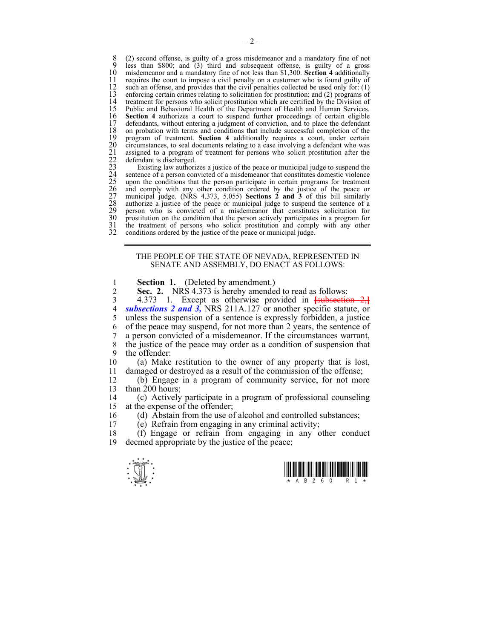8 (2) second offense, is guilty of a gross misdemeanor and a mandatory fine of not  $\frac{9}{2}$  less than \$800; and (3) third and subsequent offense is guilty of a gross 9 less than \$800; and (3) third and subsequent offense, is guilty of a gross 10 misdemeanor and a mandatory fine of not less than \$1.300. Section 4 additionally 10 misdemeanor and a mandatory fine of not less than \$1,300. **Section 4** additionally 11 requires the court to impose a civil penalty on a customer who is found guilty of 12 such an offense, and provides that the civil penalties collected be used only for: (1) 12 such an offense, and provides that the civil penalties collected be used only for: (1) enforcing certain crimes relating to solicitation for prostitution: and (2) programs of 13 enforcing certain crimes relating to solicitation for prostitution; and (2) programs of 14 treatment for persons who solicit prostitution which are certified by the Division of 15 Public and Behavioral Health of the Department of Health and Human Services. 15 Public and Behavioral Health of the Department of Health and Human Services.<br>16 Section 4 authorizes a court to suspend further proceedings of certain eligible 16 **Section 4** authorizes a court to suspend further proceedings of certain eligible 17 defendants, without entering a judgment of conviction, and to place the defendant 17 defendants, without entering a judgment of conviction, and to place the defendant 18 on probation with terms and conditions that include successful completion of the 18 on probation with terms and conditions that include successful completion of the program of treatment. **Section 4** additionally requires a court, under certain circumstances, to seal documents relating to a case involving a defendant who was assigned to a program of treatment for persons who solicit prostitution after the defendant is discharged.

19 program of treatment. **Section 4** additionally requires a court, under certain circumstances, to seal documents relating to a case involving a defendant who was assigned to a program of treatment for persons who solicit Existing law authorizes a justice of the peace or municipal judge to suspend the sentence of a person convicted of a misdemeanor that constitutes domestic violence upon the conditions that the person participate in certain programs for treatment and comply with any other condition ordered by the justice of the peace or municipal judge. (NRS 4.373, 5.055) **Sections 2 and 3** of this bill similarly authorize a justice of the peace or municipal judge to suspend the sentence of a 29 person who is convicted of a misdemeanor that constitutes solicitation for 30 prostitution on the condition that the person actively participates in a program for the treatment of persons who solicit prostitution and comply with any other 31 the treatment of persons who solicit prostitution and comply with any other conditions ordered by the iustice of the peace or municipal judge. 32 conditions ordered by the justice of the peace or municipal judge.

## THE PEOPLE OF THE STATE OF NEVADA, REPRESENTED IN SENATE AND ASSEMBLY, DO ENACT AS FOLLOWS:

- 1 **Section 1.** (Deleted by amendment.)
- **Sec. 2.** NRS 4.373 is hereby amended to read as follows:<br>4.373 1 Except as otherwise provided in **Japanesetic**

3 4.373 1. Except as otherwise provided in **[**subsection 2,**]** subsections 2 and 3, NRS 211A.127 or another specific statute, or 5 unless the suspension of a sentence is expressly forbidden, a justice 6 of the peace may suspend, for not more than 2 years, the sentence of 7 a person convicted of a misdemeanor. If the circumstances warrant, 8 the justice of the peace may order as a condition of suspension that 9 the offender:

10 (a) Make restitution to the owner of any property that is lost, 11 damaged or destroyed as a result of the commission of the offense;

12 (b) Engage in a program of community service, for not more 13 than 200 hours;

14 (c) Actively participate in a program of professional counseling 15 at the expense of the offender;

16 (d) Abstain from the use of alcohol and controlled substances;

17 (e) Refrain from engaging in any criminal activity;

18 (f) Engage or refrain from engaging in any other conduct 19 deemed appropriate by the justice of the peace;

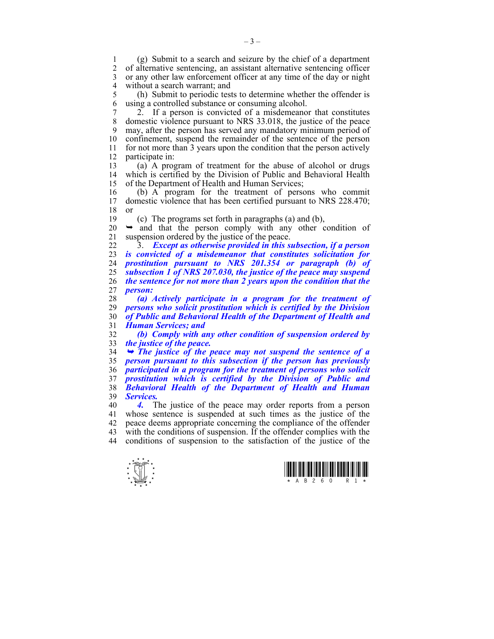1 (g) Submit to a search and seizure by the chief of a department 2 of alternative sentencing, an assistant alternative sentencing officer 3 or any other law enforcement officer at any time of the day or night 4 without a search warrant; and

5 (h) Submit to periodic tests to determine whether the offender is 6 using a controlled substance or consuming alcohol.

7 2. If a person is convicted of a misdemeanor that constitutes 8 domestic violence pursuant to NRS 33.018, the justice of the peace 9 may, after the person has served any mandatory minimum period of 10 confinement, suspend the remainder of the sentence of the person 11 for not more than 3 years upon the condition that the person actively 12 participate in:

13 (a) A program of treatment for the abuse of alcohol or drugs 14 which is certified by the Division of Public and Behavioral Health 15 of the Department of Health and Human Services;

16 (b) A program for the treatment of persons who commit 17 domestic violence that has been certified pursuant to NRS 228 470 domestic violence that has been certified pursuant to NRS 228.470; 18 or

19 (c) The programs set forth in paragraphs (a) and (b),

 $20 \rightarrow$  and that the person comply with any other condition of 21 suspension ordered by the justice of the peace.

22 3. *Except as otherwise provided in this subsection, if a person is convicted of a misdemeanor that constitutes solicitation for prostitution pursuant to NRS 201.354 or paragraph (b) of subsection 1 of NRS 207.030, the justice of the peace may suspend the sentence for not more than 2 years upon the condition that the*  27 *person:* 

*(a) Actively participate in a program for the treatment of persons who solicit prostitution which is certified by the Division of Public and Behavioral Health of the Department of Health and Human Services; and* 

32 *(b) Comply with any other condition of suspension ordered by*  33 *the justice of the peace.* 

¬ *The justice of the peace may not suspend the sentence of a person pursuant to this subsection if the person has previously participated in a program for the treatment of persons who solicit prostitution which is certified by the Division of Public and Behavioral Health of the Department of Health and Human Services.* 

40 *4.* The justice of the peace may order reports from a person 41 whose sentence is suspended at such times as the justice of the 42 peace deems appropriate concerning the compliance of the offender 43 with the conditions of suspension. If the offender complies with the 44 conditions of suspension to the satisfaction of the justice of the



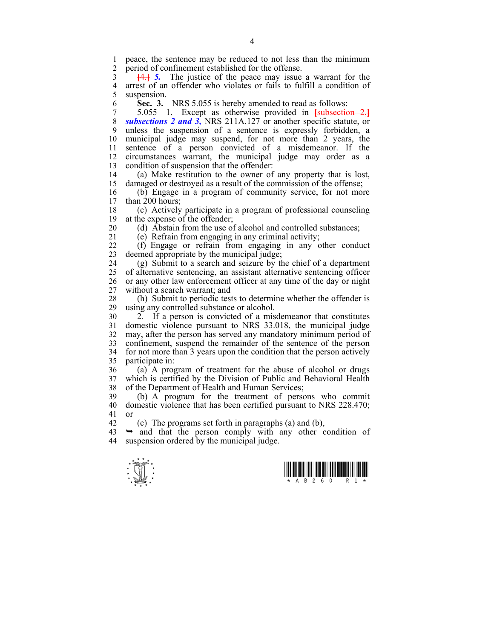1 peace, the sentence may be reduced to not less than the minimum<br>2 period of confinement established for the offense period of confinement established for the offense.

3 **[**4.**]** *5.* The justice of the peace may issue a warrant for the 4 arrest of an offender who violates or fails to fulfill a condition of suspension.

6 **Sec. 3.** NRS 5.055 is hereby amended to read as follows:

7 5.055 1. Except as otherwise provided in **[**subsection 2,**]** 8 *subsections 2 and 3,* NRS 211A.127 or another specific statute, or 9 unless the suspension of a sentence is expressly forbidden, a 10 municipal judge may suspend, for not more than 2 years, the 11 sentence of a person convicted of a misdemeanor. If the 12 circumstances warrant, the municipal judge may order as a 13 condition of suspension that the offender:

14 (a) Make restitution to the owner of any property that is lost, 15 damaged or destroyed as a result of the commission of the offense;

16 (b) Engage in a program of community service, for not more than  $200$  hours;

18 (c) Actively participate in a program of professional counseling 19 at the expense of the offender;

20 (d) Abstain from the use of alcohol and controlled substances;

21 (e) Refrain from engaging in any criminal activity;

22 (f) Engage or refrain from engaging in any other conduct 23 deemed appropriate by the municipal judge;

24 (g) Submit to a search and seizure by the chief of a department 25 of alternative sentencing, an assistant alternative sentencing officer 26 or any other law enforcement officer at any time of the day or night 27 without a search warrant; and

28 (h) Submit to periodic tests to determine whether the offender is using any controlled substance or alcohol. using any controlled substance or alcohol.

30 2. If a person is convicted of a misdemeanor that constitutes 31 domestic violence pursuant to NRS 33.018, the municipal judge 32 may, after the person has served any mandatory minimum period of 33 confinement, suspend the remainder of the sentence of the person 34 for not more than 3 years upon the condition that the person actively 35 participate in:

36 (a) A program of treatment for the abuse of alcohol or drugs 37 which is certified by the Division of Public and Behavioral Health 38 of the Department of Health and Human Services;

39 (b) A program for the treatment of persons who commit 40 domestic violence that has been certified pursuant to NRS 228.470; 41 or

42 (c) The programs set forth in paragraphs (a) and (b),

 $43 \rightarrow$  and that the person comply with any other condition of 44 suspension ordered by the municipal judge.



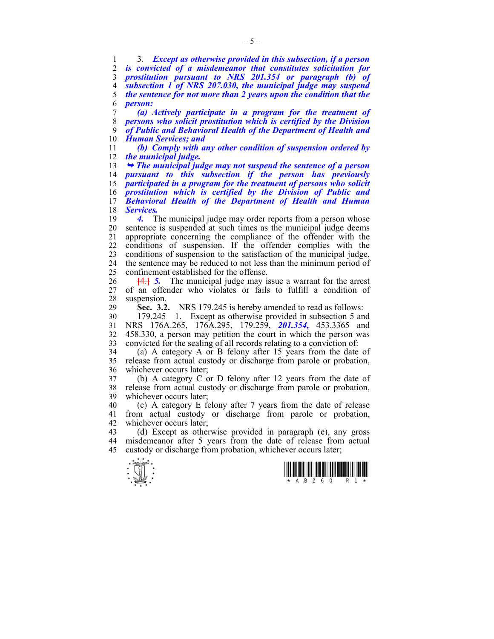1 3. *Except as otherwise provided in this subsection, if a person is convicted of a misdemeanor that constitutes solicitation for prostitution pursuant to NRS 201.354 or paragraph (b) of subsection 1 of NRS 207.030, the municipal judge may suspend the sentence for not more than 2 years upon the condition that the*  6 *person:* 

*(a) Actively participate in a program for the treatment of persons who solicit prostitution which is certified by the Division of Public and Behavioral Health of the Department of Health and Human Services; and* 

11 *(b) Comply with any other condition of suspension ordered by*  12 *the municipal judge.* 

¬ *The municipal judge may not suspend the sentence of a person pursuant to this subsection if the person has previously participated in a program for the treatment of persons who solicit prostitution which is certified by the Division of Public and Behavioral Health of the Department of Health and Human Services.* 

19 *4.* The municipal judge may order reports from a person whose 20 sentence is suspended at such times as the municipal judge deems 21 appropriate concerning the compliance of the offender with the 22 conditions of suspension. If the offender complies with the 23 conditions of suspension to the satisfaction of the municipal judge, 24 the sentence may be reduced to not less than the minimum period of 25 confinement established for the offense.

26 **[**4.**]** *5.* The municipal judge may issue a warrant for the arrest 27 of an offender who violates or fails to fulfill a condition of 28 suspension.

29 **Sec. 3.2.** NRS 179.245 is hereby amended to read as follows:

30 179.245 1. Except as otherwise provided in subsection 5 and 31 NRS 176A.265, 176A.295, 179.259, *201.354,* 453.3365 and 32 458.330, a person may petition the court in which the person was 33 convicted for the sealing of all records relating to a conviction of:

34 (a) A category A or B felony after 15 years from the date of 35 release from actual custody or discharge from parole or probation, 36 whichever occurs later;

37 (b) A category C or D felony after 12 years from the date of 38 release from actual custody or discharge from parole or probation, 39 whichever occurs later;

40 (c) A category E felony after 7 years from the date of release 41 from actual custody or discharge from parole or probation, 42 whichever occurs later;

43 (d) Except as otherwise provided in paragraph (e), any gross 44 misdemeanor after 5 years from the date of release from actual 45 custody or discharge from probation, whichever occurs later;



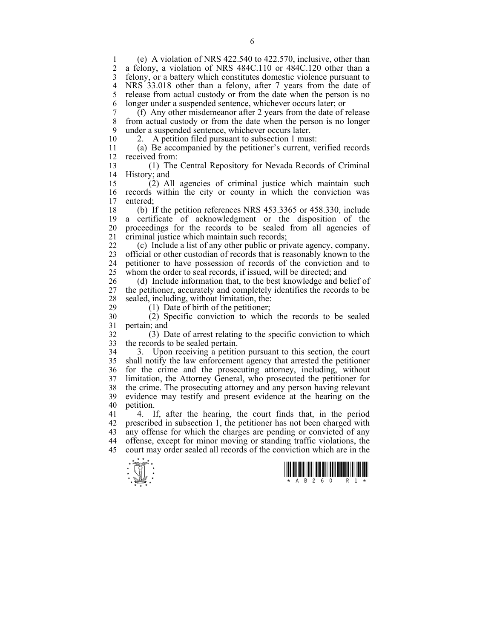1 (e) A violation of NRS 422.540 to 422.570, inclusive, other than 2 a felony, a violation of NRS 484C.110 or 484C.120 other than a 3 felony, or a battery which constitutes domestic violence pursuant to 4 NRS 33.018 other than a felony, after 7 years from the date of 5 release from actual custody or from the date when the person is no 6 longer under a suspended sentence, whichever occurs later; or

7 (f) Any other misdemeanor after 2 years from the date of release 8 from actual custody or from the date when the person is no longer 9 under a suspended sentence, whichever occurs later.

10 2. A petition filed pursuant to subsection 1 must:

11 (a) Be accompanied by the petitioner's current, verified records 12 received from:

13 (1) The Central Repository for Nevada Records of Criminal 14 History; and

15 (2) All agencies of criminal justice which maintain such 16 records within the city or county in which the conviction was 17 entered entered:

18 (b) If the petition references NRS 453.3365 or 458.330, include 19 a certificate of acknowledgment or the disposition of the 20 proceedings for the records to be sealed from all agencies of 21 criminal justice which maintain such records;

22 (c) Include a list of any other public or private agency, company, 23 official or other custodian of records that is reasonably known to the 24 petitioner to have possession of records of the conviction and to 25 whom the order to seal records, if issued, will be directed; and

26 (d) Include information that, to the best knowledge and belief of 27 the petitioner, accurately and completely identifies the records to be 28 sealed, including, without limitation, the:<br>29 (1) Date of birth of the petitioner:

 $(1)$  Date of birth of the petitioner;

30 (2) Specific conviction to which the records to be sealed 31 pertain; and

32 (3) Date of arrest relating to the specific conviction to which 33 the records to be sealed pertain.

34 3. Upon receiving a petition pursuant to this section, the court 35 shall notify the law enforcement agency that arrested the petitioner 36 for the crime and the prosecuting attorney, including, without 37 limitation, the Attorney General, who prosecuted the petitioner for 38 the crime. The prosecuting attorney and any person having relevant 39 evidence may testify and present evidence at the hearing on the 40 petition.

41 4. If, after the hearing, the court finds that, in the period 42 prescribed in subsection 1, the petitioner has not been charged with 43 any offense for which the charges are pending or convicted of any 44 offense, except for minor moving or standing traffic violations, the 45 court may order sealed all records of the conviction which are in the



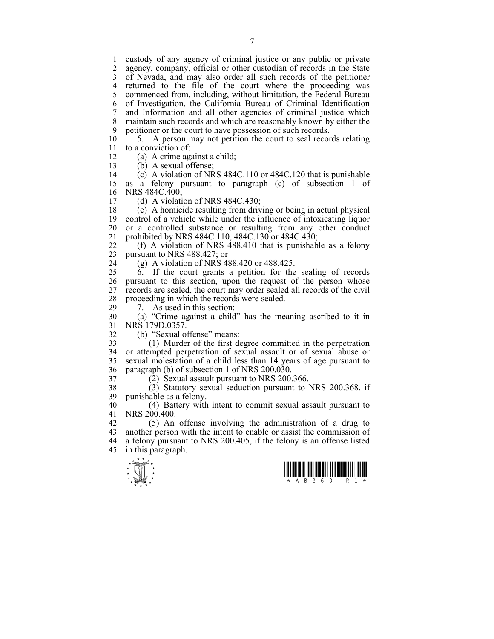1 custody of any agency of criminal justice or any public or private 2 agency, company, official or other custodian of records in the State 3 of Nevada, and may also order all such records of the petitioner 4 returned to the file of the court where the proceeding was 5 commenced from, including, without limitation, the Federal Bureau 6 of Investigation, the California Bureau of Criminal Identification 7 and Information and all other agencies of criminal justice which 8 maintain such records and which are reasonably known by either the 9 petitioner or the court to have possession of such records.

10 5. A person may not petition the court to seal records relating 11 to a conviction of:

12 (a) A crime against a child;

13 (b) A sexual offense;

14 (c) A violation of NRS 484C.110 or 484C.120 that is punishable 15 as a felony pursuant to paragraph (c) of subsection 1 of 16 NRS 484C.400;

17 (d) A violation of NRS 484C.430;

18 (e) A homicide resulting from driving or being in actual physical 19 control of a vehicle while under the influence of intoxicating liquor 20 or a controlled substance or resulting from any other conduct 21 prohibited by NRS 484C.110, 484C.130 or 484C.430;

22 (f) A violation of NRS 488.410 that is punishable as a felony 23 pursuant to NRS 488.427; or

24 (g) A violation of NRS 488.420 or 488.425.

25 6. If the court grants a petition for the sealing of records 26 pursuant to this section, upon the request of the person whose 27 records are sealed, the court may order sealed all records of the civil 28 proceeding in which the records were sealed.<br>29  $\frac{7}{2}$  As used in this section:

7. As used in this section:

30 (a) "Crime against a child" has the meaning ascribed to it in 31 NRS 179D.0357.

32 (b) "Sexual offense" means:

33 (1) Murder of the first degree committed in the perpetration 34 or attempted perpetration of sexual assault or of sexual abuse or 35 sexual molestation of a child less than 14 years of age pursuant to 36 paragraph (b) of subsection 1 of NRS 200.030.

37 (2) Sexual assault pursuant to NRS 200.366.

38 (3) Statutory sexual seduction pursuant to NRS 200.368, if 39 punishable as a felony.

40 (4) Battery with intent to commit sexual assault pursuant to 41 NRS 200.400.

42 (5) An offense involving the administration of a drug to 43 another person with the intent to enable or assist the commission of 44 a felony pursuant to NRS 200.405, if the felony is an offense listed 45 in this paragraph.



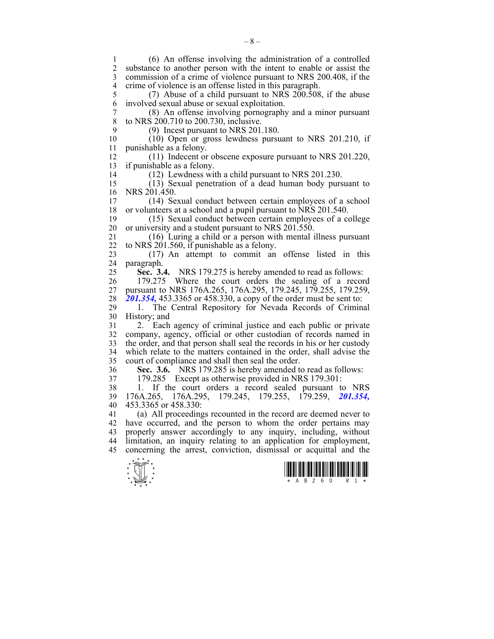1 (6) An offense involving the administration of a controlled substance to another person with the intent to enable or assist the 3 commission of a crime of violence pursuant to NRS 200.408, if the 4 crime of violence is an offense listed in this paragraph.<br>5 (7) Abuse of a child pursuant to NRS 200.508  $(7)$  Abuse of a child pursuant to NRS 200.508, if the abuse 6 involved sexual abuse or sexual exploitation. 7 (8) An offense involving pornography and a minor pursuant to NRS 200.710 to 200.730, inclusive. 9 (9) Incest pursuant to NRS 201.180.<br>10 (10) Open or gross lewdness pursu  $(10)$  Open or gross lewdness pursuant to NRS 201.210, if 11 punishable as a felony. 12 (11) Indecent or obscene exposure pursuant to NRS 201.220, 13 if punishable as a felony. 14 (12) Lewdness with a child pursuant to NRS 201.230. 15 (13) Sexual penetration of a dead human body pursuant to 16 NRS 201.450. 17 (14) Sexual conduct between certain employees of a school 18 or volunteers at a school and a pupil pursuant to NRS 201.540. 19 (15) Sexual conduct between certain employees of a college 20 or university and a student pursuant to NRS 201.550. 21 (16) Luring a child or a person with mental illness pursuant 22 to NRS 201.560, if punishable as a felony. 23 (17) An attempt to commit an offense listed in this 24 paragraph. 25 **Sec. 3.4.** NRS 179.275 is hereby amended to read as follows: 26 179.275 Where the court orders the sealing of a record 27 pursuant to NRS 176A.265, 176A.295, 179.245, 179.255, 179.259, 28 *201.354,* 453.3365 or 458.330, a copy of the order must be sent to: 29 1. The Central Repository for Nevada Records of Criminal 30 History; and 31 2. Each agency of criminal justice and each public or private 32 company, agency, official or other custodian of records named in 33 the order, and that person shall seal the records in his or her custody 34 which relate to the matters contained in the order, shall advise the 35 court of compliance and shall then seal the order. 36 **Sec. 3.6.** NRS 179.285 is hereby amended to read as follows: 37 179.285 Except as otherwise provided in NRS 179.301: 38 1. If the court orders a record sealed pursuant to NRS 39 176A.265, 176A.295, 179.245, 179.255, 179.259, *201.354,*  40 453.3365 or 458.330: 41 (a) All proceedings recounted in the record are deemed never to 42 have occurred, and the person to whom the order pertains may 43 properly answer accordingly to any inquiry, including, without 44 limitation, an inquiry relating to an application for employment, 45 concerning the arrest, conviction, dismissal or acquittal and the



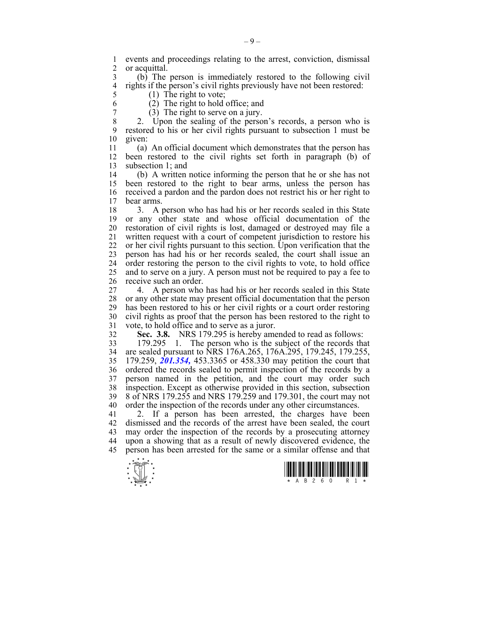1 events and proceedings relating to the arrest, conviction, dismissal or acquittal.

3 (b) The person is immediately restored to the following civil 4 rights if the person's civil rights previously have not been restored:<br>5 (1) The right to vote:  $(1)$  The right to vote;

6 (2) The right to hold office; and

 $\begin{array}{cc} 7 & (3) \end{array}$  The right to serve on a jury.<br>8  $\begin{array}{cc} 2 & \text{Upon the scaling of the person} \end{array}$ 

2. Upon the sealing of the person's records, a person who is 9 restored to his or her civil rights pursuant to subsection 1 must be 10 given:

11 (a) An official document which demonstrates that the person has 12 been restored to the civil rights set forth in paragraph (b) of 13 subsection 1; and

14 (b) A written notice informing the person that he or she has not 15 been restored to the right to bear arms, unless the person has 16 received a pardon and the pardon does not restrict his or her right to 17 bear arms bear arms.

18 3. A person who has had his or her records sealed in this State 19 or any other state and whose official documentation of the 20 restoration of civil rights is lost, damaged or destroyed may file a 21 written request with a court of competent jurisdiction to restore his 22 or her civil rights pursuant to this section. Upon verification that the 23 person has had his or her records sealed, the court shall issue an 24 order restoring the person to the civil rights to vote, to hold office 25 and to serve on a jury. A person must not be required to pay a fee to 26 receive such an order.

27 4. A person who has had his or her records sealed in this State 28 or any other state may present official documentation that the person<br>29 has been restored to his or her civil rights or a court order restoring has been restored to his or her civil rights or a court order restoring 30 civil rights as proof that the person has been restored to the right to 31 vote, to hold office and to serve as a juror.

32 **Sec. 3.8.** NRS 179.295 is hereby amended to read as follows:

33 179.295 1. The person who is the subject of the records that 34 are sealed pursuant to NRS 176A.265, 176A.295, 179.245, 179.255, 35 179.259, *201.354,* 453.3365 or 458.330 may petition the court that 36 ordered the records sealed to permit inspection of the records by a 37 person named in the petition, and the court may order such 38 inspection. Except as otherwise provided in this section, subsection 39 8 of NRS 179.255 and NRS 179.259 and 179.301, the court may not 40 order the inspection of the records under any other circumstances.

41 2. If a person has been arrested, the charges have been 42 dismissed and the records of the arrest have been sealed, the court 43 may order the inspection of the records by a prosecuting attorney 44 upon a showing that as a result of newly discovered evidence, the 45 person has been arrested for the same or a similar offense and that



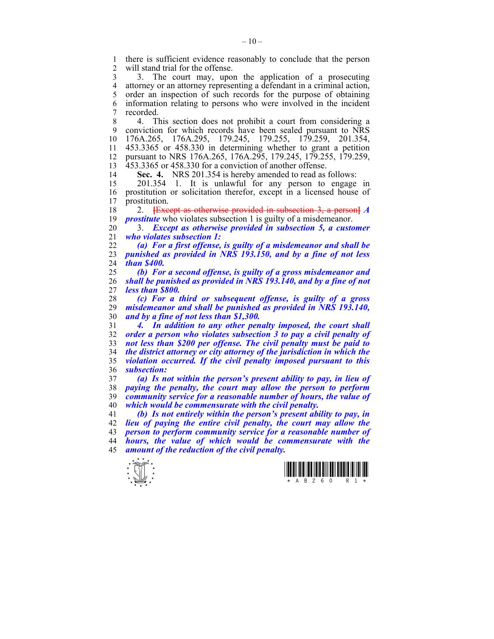1 there is sufficient evidence reasonably to conclude that the person<br>2 will stand trial for the offense will stand trial for the offense.

3 3. The court may, upon the application of a prosecuting 4 attorney or an attorney representing a defendant in a criminal action,<br>5 order an inspection of such records for the purpose of obtaining order an inspection of such records for the purpose of obtaining 6 information relating to persons who were involved in the incident 7 recorded.

8 4. This section does not prohibit a court from considering a 9 conviction for which records have been sealed pursuant to NRS 10 176A.265, 176A.295, 179.245, 179.255, 179.259, 201.354, 11 453.3365 or 458.330 in determining whether to grant a petition 12 pursuant to NRS 176A.265, 176A.295, 179.245, 179.255, 179.259, 13 453.3365 or 458.330 for a conviction of another offense.

14 **Sec. 4.** NRS 201.354 is hereby amended to read as follows:

15 201.354 1. It is unlawful for any person to engage in 16 prostitution or solicitation therefor, except in a licensed house of 17 prostitution.

18 2. **[**Except as otherwise provided in subsection 3, a person**]** *A*  19 *prostitute* who violates subsection 1 is guilty of a misdemeanor.

20 3. *Except as otherwise provided in subsection 5, a customer*  21 *who violates subsection 1:* 

22 *(a) For a first offense, is guilty of a misdemeanor and shall be*  23 *punished as provided in NRS 193.150, and by a fine of not less*  24 *than \$400.* 

25 *(b) For a second offense, is guilty of a gross misdemeanor and*  26 *shall be punished as provided in NRS 193.140, and by a fine of not*  27 *less than \$800.* 

28 *(c) For a third or subsequent offense, is guilty of a gross*  29 *misdemeanor and shall be punished as provided in NRS 193.140,*  30 *and by a fine of not less than \$1,300.* 

*4. In addition to any other penalty imposed, the court shall order a person who violates subsection 3 to pay a civil penalty of not less than \$200 per offense. The civil penalty must be paid to the district attorney or city attorney of the jurisdiction in which the violation occurred. If the civil penalty imposed pursuant to this subsection:* 

*(a) Is not within the person's present ability to pay, in lieu of paying the penalty, the court may allow the person to perform community service for a reasonable number of hours, the value of which would be commensurate with the civil penalty.* 

*(b) Is not entirely within the person's present ability to pay, in lieu of paying the entire civil penalty, the court may allow the person to perform community service for a reasonable number of hours, the value of which would be commensurate with the amount of the reduction of the civil penalty.* 



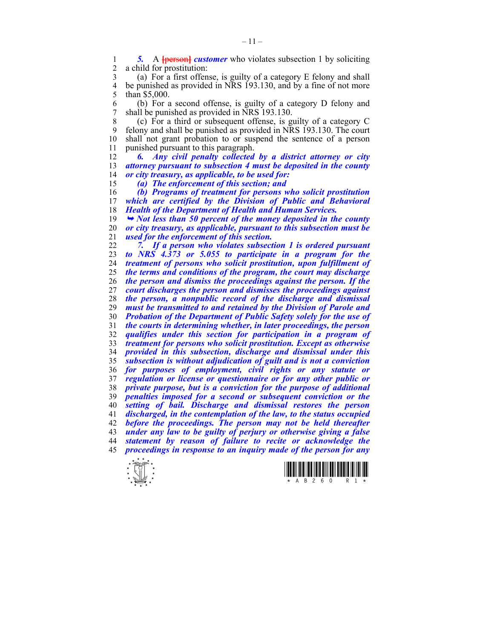**5.** A **{person}** *customer* who violates subsection 1 by soliciting a child for prostitution: a child for prostitution:

3 (a) For a first offense, is guilty of a category E felony and shall 4 be punished as provided in NRS 193.130, and by a fine of not more<br>5 than \$5.000. than \$5,000.

6 (b) For a second offense, is guilty of a category D felony and 7 shall be punished as provided in NRS 193.130.

8 (c) For a third or subsequent offense, is guilty of a category C 9 felony and shall be punished as provided in NRS 193.130. The court 10 shall not grant probation to or suspend the sentence of a nerson shall not grant probation to or suspend the sentence of a person 11 punished pursuant to this paragraph.

*6. Any civil penalty collected by a district attorney or city attorney pursuant to subsection 4 must be deposited in the county or city treasury, as applicable, to be used for:* 

*(a) The enforcement of this section; and* 

*(b) Programs of treatment for persons who solicit prostitution*  which are certified by the Division of Public and Behavioral *Health of the Department of Health and Human Services.* 

¬ *Not less than 50 percent of the money deposited in the county or city treasury, as applicable, pursuant to this subsection must be used for the enforcement of this section.* 

*7. If a person who violates subsection 1 is ordered pursuant to NRS 4.373 or 5.055 to participate in a program for the treatment of persons who solicit prostitution, upon fulfillment of the terms and conditions of the program, the court may discharge the person and dismiss the proceedings against the person. If the court discharges the person and dismisses the proceedings against the person, a nonpublic record of the discharge and dismissal must be transmitted to and retained by the Division of Parole and Probation of the Department of Public Safety solely for the use of the courts in determining whether, in later proceedings, the person qualifies under this section for participation in a program of treatment for persons who solicit prostitution. Except as otherwise provided in this subsection, discharge and dismissal under this subsection is without adjudication of guilt and is not a conviction for purposes of employment, civil rights or any statute or regulation or license or questionnaire or for any other public or private purpose, but is a conviction for the purpose of additional penalties imposed for a second or subsequent conviction or the setting of bail. Discharge and dismissal restores the person discharged, in the contemplation of the law, to the status occupied before the proceedings. The person may not be held thereafter under any law to be guilty of perjury or otherwise giving a false statement by reason of failure to recite or acknowledge the proceedings in response to an inquiry made of the person for any*